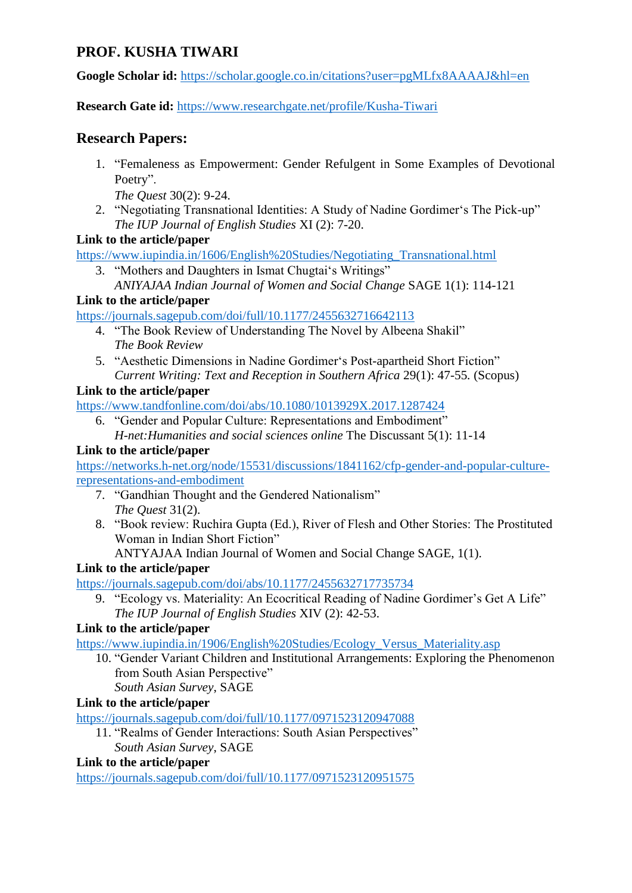# **PROF. KUSHA TIWARI**

**Google Scholar id:** <https://scholar.google.co.in/citations?user=pgMLfx8AAAAJ&hl=en>

**Research Gate id:** <https://www.researchgate.net/profile/Kusha-Tiwari>

# **Research Papers:**

1. "Femaleness as Empowerment: Gender Refulgent in Some Examples of Devotional Poetry".

*The Quest* 30(2): 9-24.

2. "Negotiating Transnational Identities: A Study of Nadine Gordimer"s The Pick-up" *The IUP Journal of English Studies* XI (2): 7-20.

### **Link to the article/paper**

[https://www.iupindia.in/1606/English%20Studies/Negotiating\\_Transnational.html](https://www.iupindia.in/1606/English%20Studies/Negotiating_Transnational.html)

3. "Mothers and Daughters in Ismat Chugtai"s Writings" *ANIYAJAA Indian Journal of Women and Social Change* SAGE 1(1): 114-121

### **Link to the article/paper**

<https://journals.sagepub.com/doi/full/10.1177/2455632716642113>

- 4. "The Book Review of Understanding The Novel by Albeena Shakil" *The Book Review*
- 5. "Aesthetic Dimensions in Nadine Gordimer"s Post-apartheid Short Fiction" *Current Writing: Text and Reception in Southern Africa* 29(1): 47-55*.* (Scopus)

### **Link to the article/paper**

<https://www.tandfonline.com/doi/abs/10.1080/1013929X.2017.1287424>

6. "Gender and Popular Culture: Representations and Embodiment" *H-net:Humanities and social sciences online* The Discussant 5(1): 11-14

### **Link to the article/paper**

[https://networks.h-net.org/node/15531/discussions/1841162/cfp-gender-and-popular-culture](https://networks.h-net.org/node/15531/discussions/1841162/cfp-gender-and-popular-culture-representations-and-embodiment)[representations-and-embodiment](https://networks.h-net.org/node/15531/discussions/1841162/cfp-gender-and-popular-culture-representations-and-embodiment)

- 7. "Gandhian Thought and the Gendered Nationalism" *The Quest* 31(2).
- 8. "Book review: Ruchira Gupta (Ed.), River of Flesh and Other Stories: The Prostituted Woman in Indian Short Fiction"

ANTYAJAA Indian Journal of Women and Social Change SAGE, 1(1).

## **Link to the article/paper**

<https://journals.sagepub.com/doi/abs/10.1177/2455632717735734>

9. "Ecology vs. Materiality: An Ecocritical Reading of Nadine Gordimer's Get A Life" *The IUP Journal of English Studies* XIV (2): 42-53.

### **Link to the article/paper**

[https://www.iupindia.in/1906/English%20Studies/Ecology\\_Versus\\_Materiality.asp](https://www.iupindia.in/1906/English%20Studies/Ecology_Versus_Materiality.asp)

- 10. "Gender Variant Children and Institutional Arrangements: Exploring the Phenomenon from South Asian Perspective"
	- *South Asian Survey*, SAGE

## **Link to the article/paper**

<https://journals.sagepub.com/doi/full/10.1177/0971523120947088>

11. "Realms of Gender Interactions: South Asian Perspectives" *South Asian Survey*, SAGE

### **Link to the article/paper**

<https://journals.sagepub.com/doi/full/10.1177/0971523120951575>